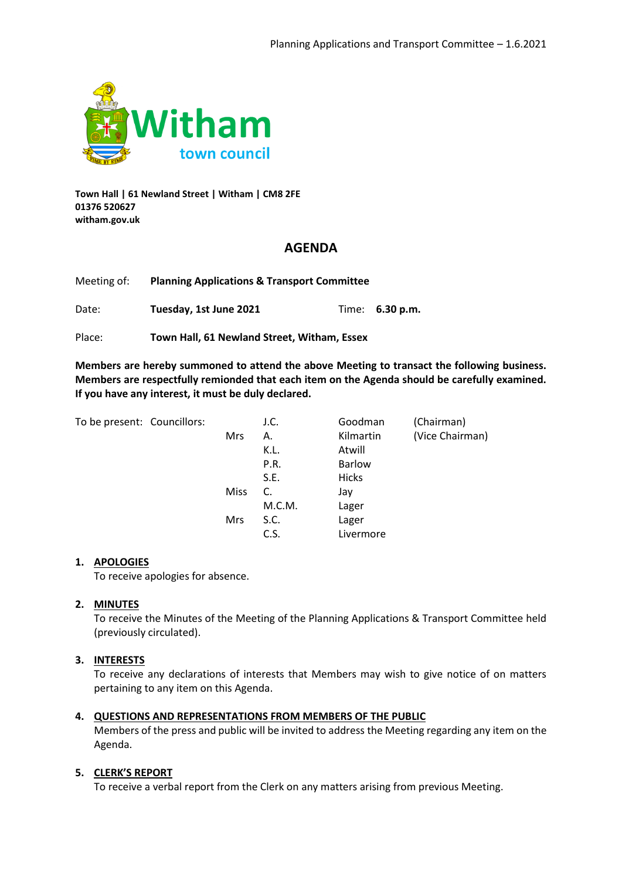

**Town Hall | 61 Newland Street | Witham | CM8 2FE 01376 520627 witham.gov.uk**

## **AGENDA**

| Meeting of: | <b>Planning Applications &amp; Transport Committee</b> |  |                   |
|-------------|--------------------------------------------------------|--|-------------------|
| Date:       | Tuesday, 1st June 2021                                 |  | Time: $6.30 p.m.$ |
| Place:      | Town Hall, 61 Newland Street, Witham, Essex            |  |                   |

**Members are hereby summoned to attend the above Meeting to transact the following business. Members are respectfully remionded that each item on the Agenda should be carefully examined. If you have any interest, it must be duly declared.**

| To be present: Councillors: |      | J.C.   | Goodman       | (Chairman)      |
|-----------------------------|------|--------|---------------|-----------------|
|                             | Mrs  | А.     | Kilmartin     | (Vice Chairman) |
|                             |      | K.L.   | Atwill        |                 |
|                             |      | P.R.   | <b>Barlow</b> |                 |
|                             |      | S.E.   | <b>Hicks</b>  |                 |
|                             | Miss | C.     | Jay           |                 |
|                             |      | M.C.M. | Lager         |                 |
|                             | Mrs  | S.C.   | Lager         |                 |
|                             |      | C.S.   | Livermore     |                 |

### **1. APOLOGIES**

To receive apologies for absence.

### **2. MINUTES**

To receive the Minutes of the Meeting of the Planning Applications & Transport Committee held (previously circulated).

### **3. INTERESTS**

To receive any declarations of interests that Members may wish to give notice of on matters pertaining to any item on this Agenda.

### **4. QUESTIONS AND REPRESENTATIONS FROM MEMBERS OF THE PUBLIC**

Members of the press and public will be invited to address the Meeting regarding any item on the Agenda.

### **5. CLERK'S REPORT**

To receive a verbal report from the Clerk on any matters arising from previous Meeting.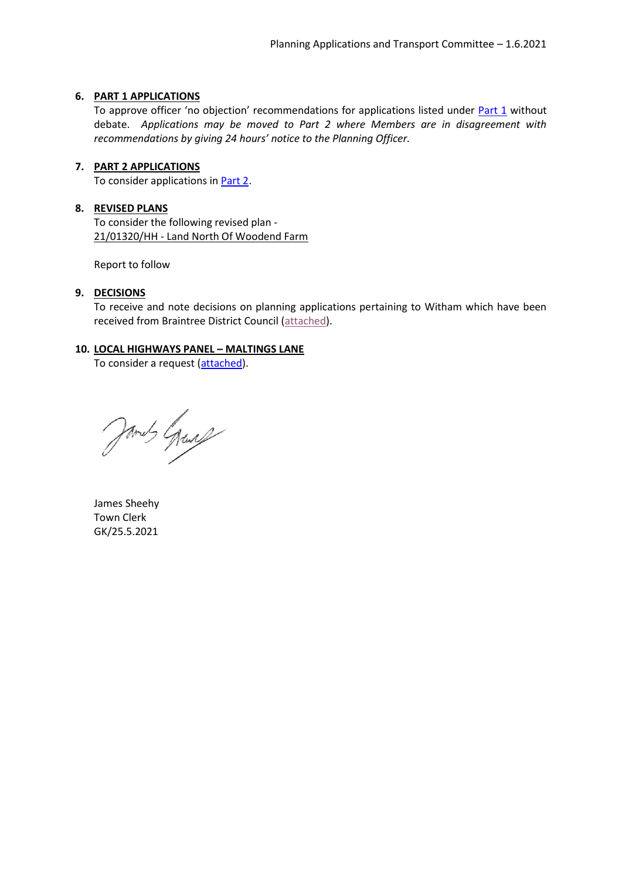### <span id="page-1-1"></span>**6. PART 1 APPLICATIONS**

To approve officer 'no objection' recommendations for applications listed under [Part 1](#page-2-0) without debate. *Applications may be moved to Part 2 where Members are in disagreement with recommendations by giving 24 hours' notice to the Planning Officer.*

### <span id="page-1-0"></span>**7. PART 2 APPLICATIONS**

To consider applications i[n Part 2.](#page-3-0)

#### **8. REVISED PLANS**

To consider the following revised plan - 21/01320/HH - Land North Of Woodend Farm

Report to follow

### **9. DECISIONS**

To receive and note decisions on planning applications pertaining to Witham which have been received from Braintree District Council [\(attached\)](#page-13-0).

### **10. LOCAL HIGHWAYS PANEL – MALTINGS LANE**

To consider a request [\(attached\)](#page-16-0).

James Grand

James Sheehy Town Clerk GK/25.5.2021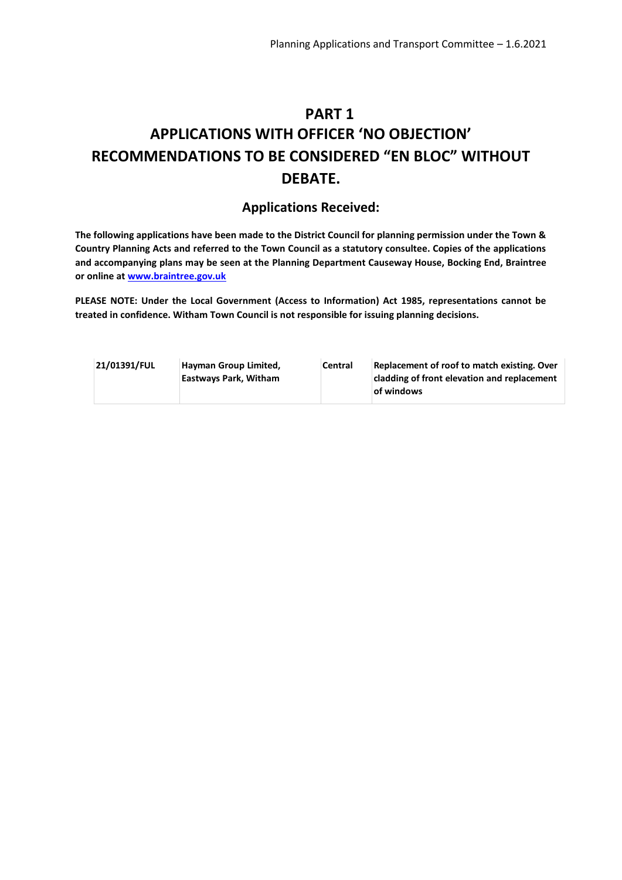## <span id="page-2-0"></span>**PART 1 APPLICATIONS WITH OFFICER 'NO OBJECTION' RECOMMENDATIONS TO BE CONSIDERED "EN BLOC" WITHOUT DEBATE.**

## **Applications Received:**

**The following applications have been made to the District Council for planning permission under the Town & Country Planning Acts and referred to the Town Council as a statutory consultee. Copies of the applications and accompanying plans may be seen at the Planning Department Causeway House, Bocking End, Braintree or online at [www.braintree.gov.uk](http://www.braintree.gov.uk/)**

**PLEASE NOTE: Under the Local Government (Access to Information) Act 1985, representations cannot be treated in confidence. Witham Town Council is not responsible for issuing planning decisions.**

| 21/01391/FUL<br>Hayman Group Limited,<br>Eastways Park, Witham | Central | Replacement of roof to match existing. Over<br>cladding of front elevation and replacement<br>of windows |
|----------------------------------------------------------------|---------|----------------------------------------------------------------------------------------------------------|
|----------------------------------------------------------------|---------|----------------------------------------------------------------------------------------------------------|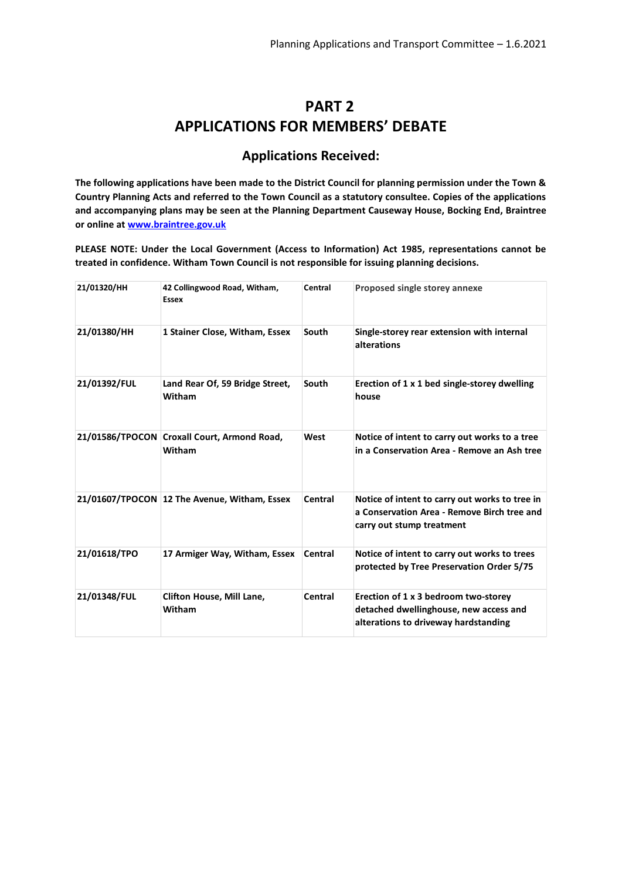## **PART 2 APPLICATIONS FOR MEMBERS' DEBATE**

## **Applications Received:**

<span id="page-3-0"></span>**The following applications have been made to the District Council for planning permission under the Town & Country Planning Acts and referred to the Town Council as a statutory consultee. Copies of the applications and accompanying plans may be seen at the Planning Department Causeway House, Bocking End, Braintree or online at [www.braintree.gov.uk](http://www.braintree.gov.uk/)**

**PLEASE NOTE: Under the Local Government (Access to Information) Act 1985, representations cannot be treated in confidence. Witham Town Council is not responsible for issuing planning decisions.**

| 21/01320/HH  | 42 Collingwood Road, Witham,<br><b>Essex</b>          | Central | Proposed single storey annexe                                                                                              |
|--------------|-------------------------------------------------------|---------|----------------------------------------------------------------------------------------------------------------------------|
| 21/01380/HH  | 1 Stainer Close, Witham, Essex                        | South   | Single-storey rear extension with internal<br>alterations                                                                  |
| 21/01392/FUL | Land Rear Of, 59 Bridge Street,<br>Witham             | South   | Erection of 1 x 1 bed single-storey dwelling<br>house                                                                      |
|              | 21/01586/TPOCON Croxall Court, Armond Road,<br>Witham | West    | Notice of intent to carry out works to a tree<br>in a Conservation Area - Remove an Ash tree                               |
|              | 21/01607/TPOCON 12 The Avenue, Witham, Essex          | Central | Notice of intent to carry out works to tree in<br>a Conservation Area - Remove Birch tree and<br>carry out stump treatment |
| 21/01618/TPO | 17 Armiger Way, Witham, Essex                         | Central | Notice of intent to carry out works to trees<br>protected by Tree Preservation Order 5/75                                  |
| 21/01348/FUL | Clifton House, Mill Lane,<br>Witham                   | Central | Erection of 1 x 3 bedroom two-storey<br>detached dwellinghouse, new access and<br>alterations to driveway hardstanding     |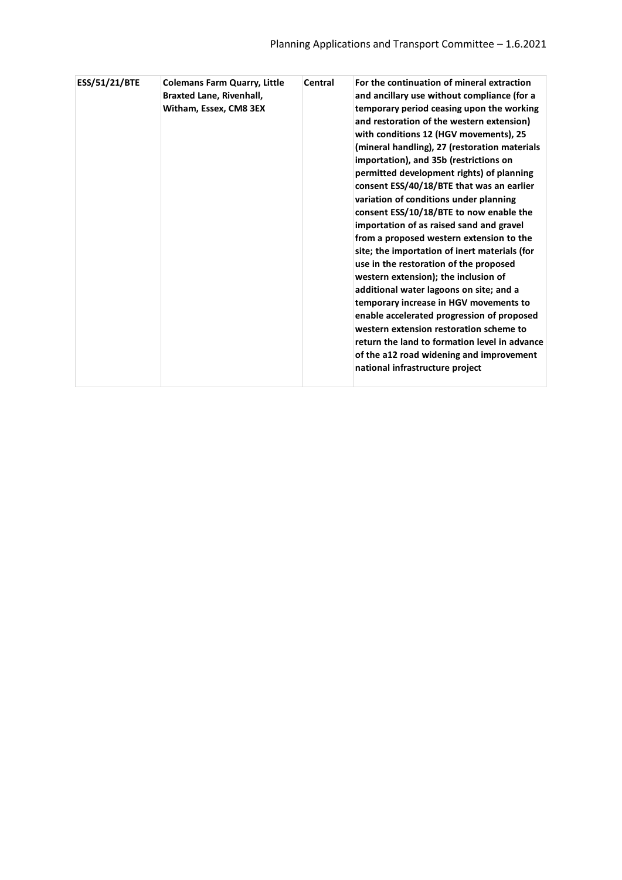| <b>ESS/51/21/BTE</b> | <b>Colemans Farm Quarry, Little</b><br><b>Braxted Lane, Rivenhall,</b><br>Witham, Essex, CM8 3EX | Central | For the continuation of mineral extraction<br>and ancillary use without compliance (for a<br>temporary period ceasing upon the working<br>and restoration of the western extension)<br>with conditions 12 (HGV movements), 25<br>(mineral handling), 27 (restoration materials<br>importation), and 35b (restrictions on<br>permitted development rights) of planning<br>consent ESS/40/18/BTE that was an earlier<br>variation of conditions under planning<br>consent ESS/10/18/BTE to now enable the<br>importation of as raised sand and gravel<br>from a proposed western extension to the<br>site; the importation of inert materials (for<br>use in the restoration of the proposed<br>western extension); the inclusion of<br>additional water lagoons on site; and a<br>temporary increase in HGV movements to<br>enable accelerated progression of proposed<br>western extension restoration scheme to<br>return the land to formation level in advance<br>of the a12 road widening and improvement<br>national infrastructure project |
|----------------------|--------------------------------------------------------------------------------------------------|---------|--------------------------------------------------------------------------------------------------------------------------------------------------------------------------------------------------------------------------------------------------------------------------------------------------------------------------------------------------------------------------------------------------------------------------------------------------------------------------------------------------------------------------------------------------------------------------------------------------------------------------------------------------------------------------------------------------------------------------------------------------------------------------------------------------------------------------------------------------------------------------------------------------------------------------------------------------------------------------------------------------------------------------------------------------|
|----------------------|--------------------------------------------------------------------------------------------------|---------|--------------------------------------------------------------------------------------------------------------------------------------------------------------------------------------------------------------------------------------------------------------------------------------------------------------------------------------------------------------------------------------------------------------------------------------------------------------------------------------------------------------------------------------------------------------------------------------------------------------------------------------------------------------------------------------------------------------------------------------------------------------------------------------------------------------------------------------------------------------------------------------------------------------------------------------------------------------------------------------------------------------------------------------------------|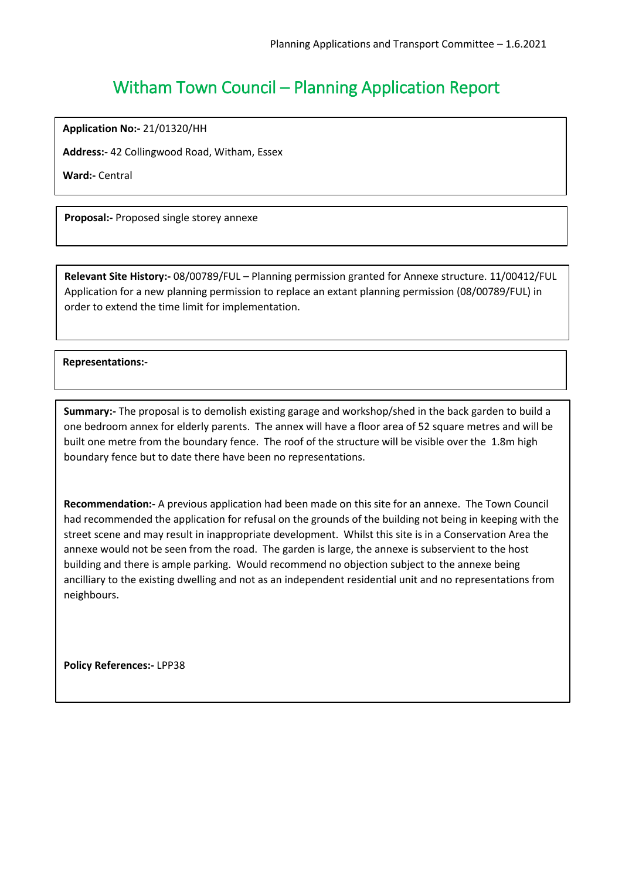**Application No:-** 21/01320/HH

**Address:-** 42 Collingwood Road, Witham, Essex

**Ward:-** Central

**Proposal:-** Proposed single storey annexe

**Relevant Site History:-** 08/00789/FUL – Planning permission granted for Annexe structure. 11/00412/FUL Application for a new planning permission to replace an extant planning permission (08/00789/FUL) in order to extend the time limit for implementation.

**Representations:-**

**Summary:-** The proposal is to demolish existing garage and workshop/shed in the back garden to build a one bedroom annex for elderly parents. The annex will have a floor area of 52 square metres and will be built one metre from the boundary fence. The roof of the structure will be visible over the 1.8m high boundary fence but to date there have been no representations.

**Recommendation:-** A previous application had been made on this site for an annexe. The Town Council had recommended the application for refusal on the grounds of the building not being in keeping with the street scene and may result in inappropriate development. Whilst this site is in a Conservation Area the annexe would not be seen from the road. The garden is large, the annexe is subservient to the host building and there is ample parking. Would recommend no objection subject to the annexe being ancilliary to the existing dwelling and not as an independent residential unit and no representations from neighbours.

**Policy References:-** LPP38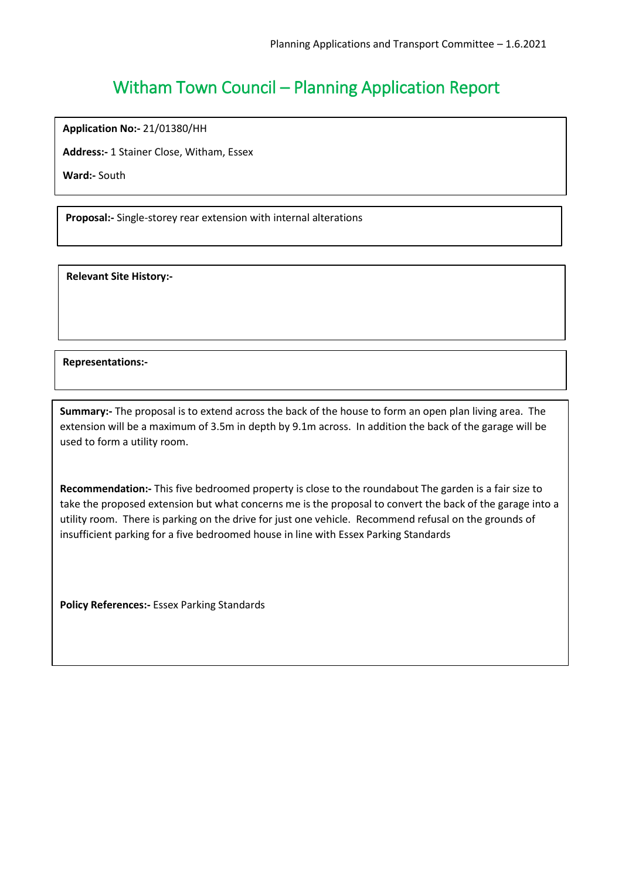**Application No:-** 21/01380/HH

**Address:-** 1 Stainer Close, Witham, Essex

**Ward:-** South

**Proposal:-** Single-storey rear extension with internal alterations

**Relevant Site History:-**

**Representations:-**

**Summary:-** The proposal is to extend across the back of the house to form an open plan living area. The extension will be a maximum of 3.5m in depth by 9.1m across. In addition the back of the garage will be used to form a utility room.

**Recommendation:-** This five bedroomed property is close to the roundabout The garden is a fair size to take the proposed extension but what concerns me is the proposal to convert the back of the garage into a utility room. There is parking on the drive for just one vehicle. Recommend refusal on the grounds of insufficient parking for a five bedroomed house in line with Essex Parking Standards

**Policy References:-** Essex Parking Standards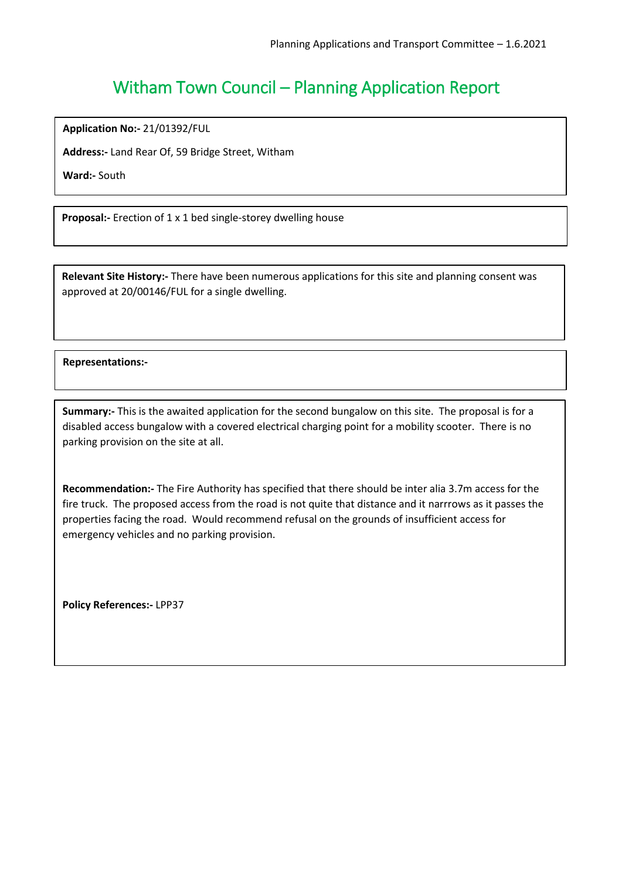**Application No:-** 21/01392/FUL

**Address:-** Land Rear Of, 59 Bridge Street, Witham

**Ward:-** South

**Proposal:-** Erection of 1 x 1 bed single-storey dwelling house

**Relevant Site History:-** There have been numerous applications for this site and planning consent was approved at 20/00146/FUL for a single dwelling.

**Representations:-**

**Summary:-** This is the awaited application for the second bungalow on this site. The proposal is for a disabled access bungalow with a covered electrical charging point for a mobility scooter. There is no parking provision on the site at all.

**Recommendation:-** The Fire Authority has specified that there should be inter alia 3.7m access for the fire truck. The proposed access from the road is not quite that distance and it narrrows as it passes the properties facing the road. Would recommend refusal on the grounds of insufficient access for emergency vehicles and no parking provision.

**Policy References:-** LPP37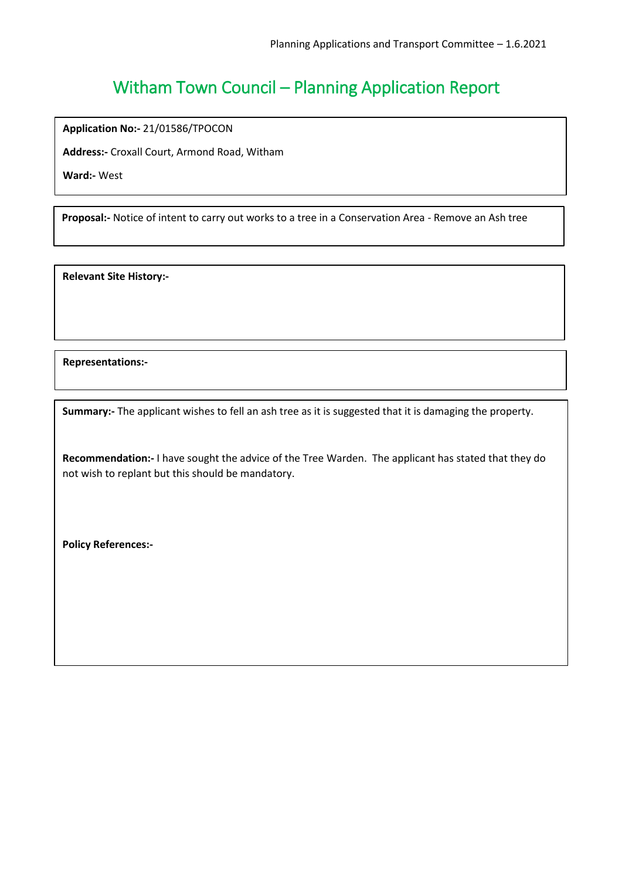**Application No:-** 21/01586/TPOCON

**Address:-** Croxall Court, Armond Road, Witham

**Ward:-** West

**Proposal:-** Notice of intent to carry out works to a tree in a Conservation Area - Remove an Ash tree

**Relevant Site History:-**

**Representations:-**

**Summary:-** The applicant wishes to fell an ash tree as it is suggested that it is damaging the property.

**Recommendation:-** I have sought the advice of the Tree Warden. The applicant has stated that they do not wish to replant but this should be mandatory.

**Policy References:-**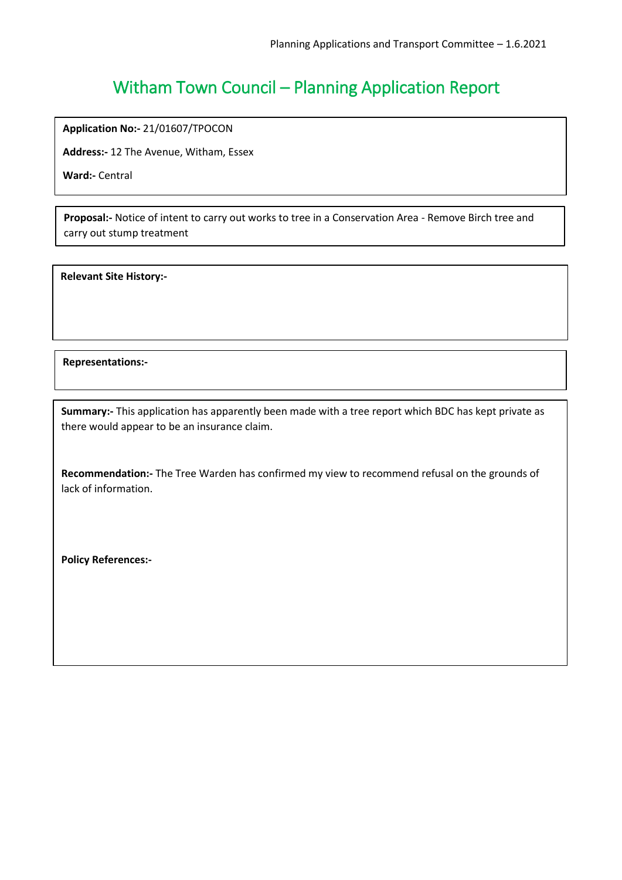**Application No:-** 21/01607/TPOCON

**Address:-** 12 The Avenue, Witham, Essex

**Ward:-** Central

**Proposal:-** Notice of intent to carry out works to tree in a Conservation Area - Remove Birch tree and carry out stump treatment

**Relevant Site History:-**

**Representations:-**

**Summary:-** This application has apparently been made with a tree report which BDC has kept private as there would appear to be an insurance claim.

**Recommendation:-** The Tree Warden has confirmed my view to recommend refusal on the grounds of lack of information.

**Policy References:-**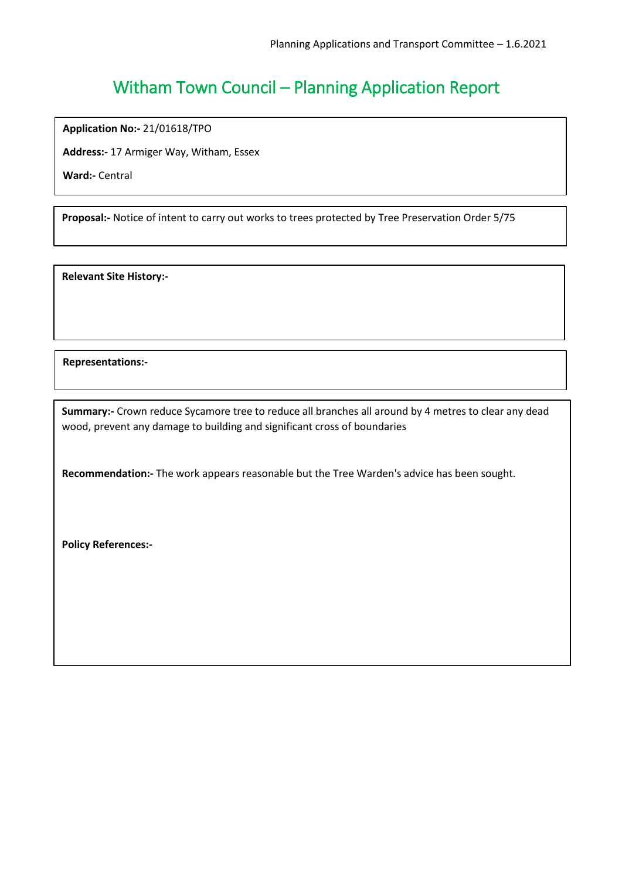**Application No:-** 21/01618/TPO

**Address:-** 17 Armiger Way, Witham, Essex

**Ward:-** Central

**Proposal:-** Notice of intent to carry out works to trees protected by Tree Preservation Order 5/75

**Relevant Site History:-**

**Representations:-**

**Summary:-** Crown reduce Sycamore tree to reduce all branches all around by 4 metres to clear any dead wood, prevent any damage to building and significant cross of boundaries

**Recommendation:-** The work appears reasonable but the Tree Warden's advice has been sought.

**Policy References:-**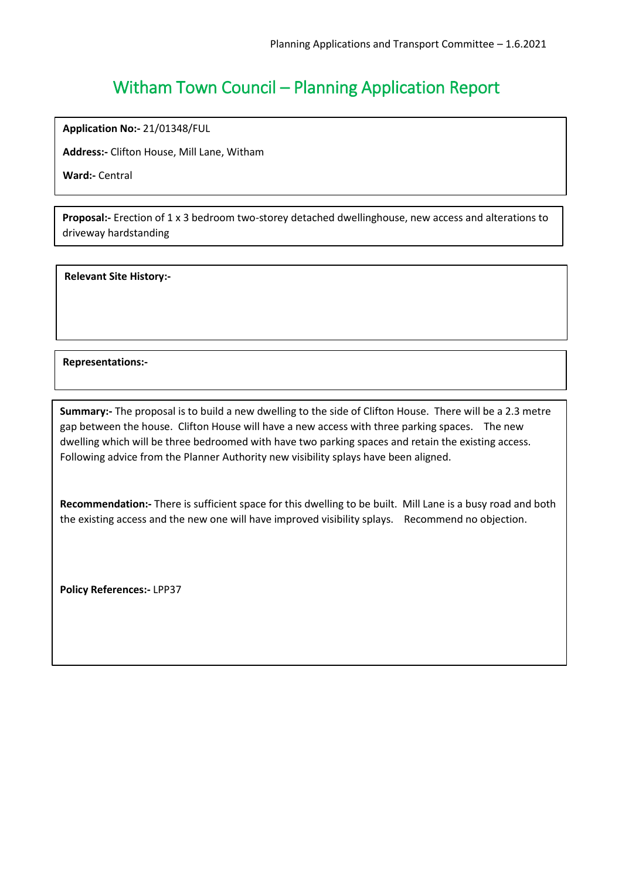**Application No:-** 21/01348/FUL

**Address:-** Clifton House, Mill Lane, Witham

**Ward:-** Central

**Proposal:-** Erection of 1 x 3 bedroom two-storey detached dwellinghouse, new access and alterations to driveway hardstanding

**Relevant Site History:-**

**Representations:-**

**Summary:-** The proposal is to build a new dwelling to the side of Clifton House. There will be a 2.3 metre gap between the house. Clifton House will have a new access with three parking spaces. The new dwelling which will be three bedroomed with have two parking spaces and retain the existing access. Following advice from the Planner Authority new visibility splays have been aligned.

**Recommendation:-** There is sufficient space for this dwelling to be built. Mill Lane is a busy road and both the existing access and the new one will have improved visibility splays. Recommend no objection.

**Policy References:-** LPP37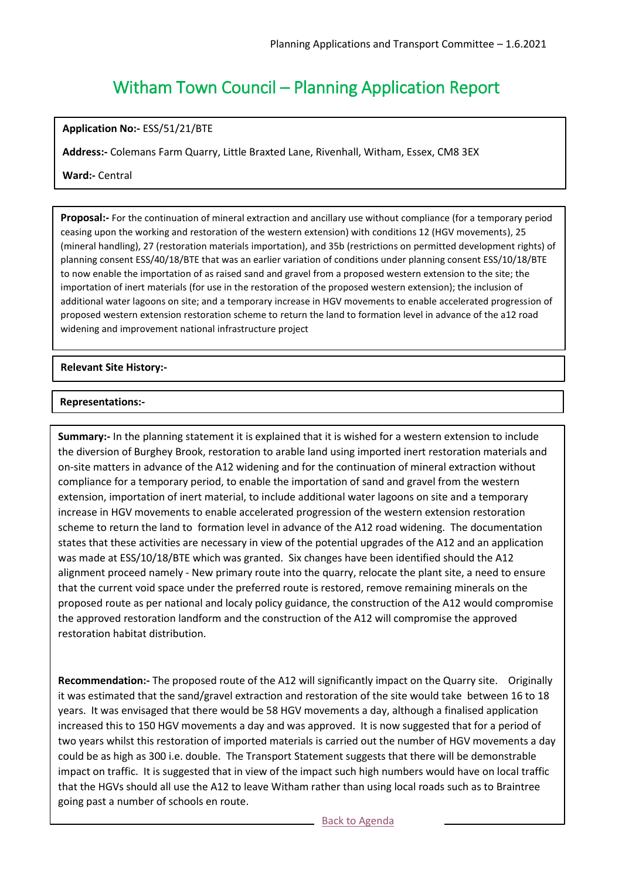**Application No:-** ESS/51/21/BTE

**Address:-** Colemans Farm Quarry, Little Braxted Lane, Rivenhall, Witham, Essex, CM8 3EX

**Ward:-** Central

**Proposal:-** For the continuation of mineral extraction and ancillary use without compliance (for a temporary period ceasing upon the working and restoration of the western extension) with conditions 12 (HGV movements), 25 (mineral handling), 27 (restoration materials importation), and 35b (restrictions on permitted development rights) of planning consent ESS/40/18/BTE that was an earlier variation of conditions under planning consent ESS/10/18/BTE to now enable the importation of as raised sand and gravel from a proposed western extension to the site; the importation of inert materials (for use in the restoration of the proposed western extension); the inclusion of additional water lagoons on site; and a temporary increase in HGV movements to enable accelerated progression of proposed western extension restoration scheme to return the land to formation level in advance of the a12 road widening and improvement national infrastructure project

#### **Relevant Site History:-**

#### $\overline{a}$ **Representations:-**

**Summary:-** In the planning statement it is explained that it is wished for a western extension to include the diversion of Burghey Brook, restoration to arable land using imported inert restoration materials and on-site matters in advance of the A12 widening and for the continuation of mineral extraction without compliance for a temporary period, to enable the importation of sand and gravel from the western extension, importation of inert material, to include additional water lagoons on site and a temporary increase in HGV movements to enable accelerated progression of the western extension restoration scheme to return the land to formation level in advance of the A12 road widening. The documentation states that these activities are necessary in view of the potential upgrades of the A12 and an application was made at ESS/10/18/BTE which was granted. Six changes have been identified should the A12 alignment proceed namely - New primary route into the quarry, relocate the plant site, a need to ensure that the current void space under the preferred route is restored, remove remaining minerals on the proposed route as per national and localy policy guidance, the construction of the A12 would compromise the approved restoration landform and the construction of the A12 will compromise the approved restoration habitat distribution.

**Recommendation:-** The proposed route of the A12 will significantly impact on the Quarry site. Originally it was estimated that the sand/gravel extraction and restoration of the site would take between 16 to 18 years. It was envisaged that there would be 58 HGV movements a day, although a finalised application increased this to 150 HGV movements a day and was approved. It is now suggested that for a period of two years whilst this restoration of imported materials is carried out the number of HGV movements a day could be as high as 300 i.e. double. The Transport Statement suggests that there will be demonstrable impact on traffic. It is suggested that in view of the impact such high numbers would have on local traffic that the HGVs should all use the A12 to leave Witham rather than using local roads such as to Braintree going past a number of schools en route.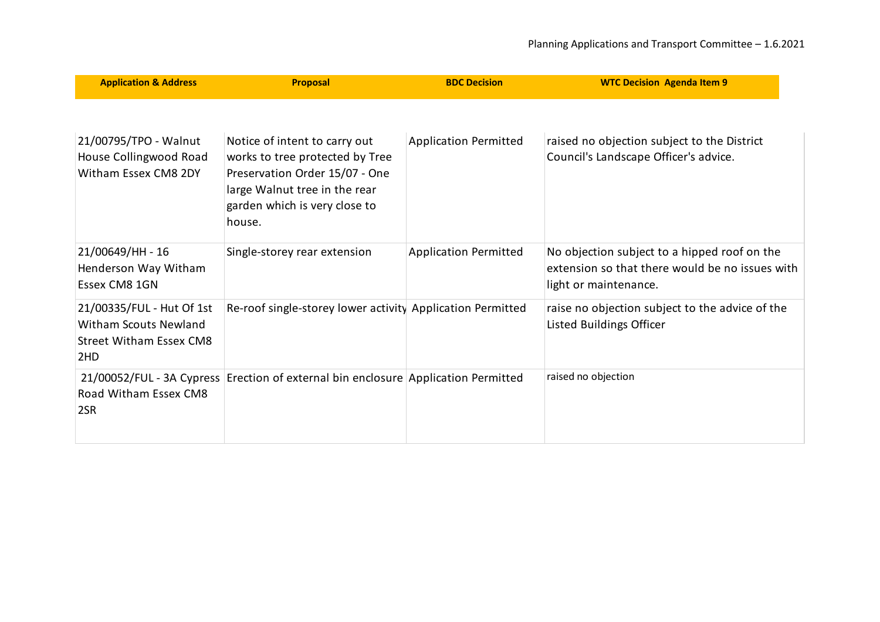<span id="page-13-0"></span>

| <b>Application &amp; Address</b>                                                                   | <b>Proposal</b>                                                                                                                                                                | <b>BDC Decision</b>          | <b>WTC Decision Agenda Item 9</b>                                                                                        |
|----------------------------------------------------------------------------------------------------|--------------------------------------------------------------------------------------------------------------------------------------------------------------------------------|------------------------------|--------------------------------------------------------------------------------------------------------------------------|
| 21/00795/TPO - Walnut<br>House Collingwood Road<br>Witham Essex CM8 2DY                            | Notice of intent to carry out<br>works to tree protected by Tree<br>Preservation Order 15/07 - One<br>large Walnut tree in the rear<br>garden which is very close to<br>house. | <b>Application Permitted</b> | raised no objection subject to the District<br>Council's Landscape Officer's advice.                                     |
| 21/00649/HH - 16<br>Henderson Way Witham<br>Essex CM8 1GN                                          | Single-storey rear extension                                                                                                                                                   | <b>Application Permitted</b> | No objection subject to a hipped roof on the<br>extension so that there would be no issues with<br>light or maintenance. |
| 21/00335/FUL - Hut Of 1st<br><b>Witham Scouts Newland</b><br><b>Street Witham Essex CM8</b><br>2HD | Re-roof single-storey lower activity Application Permitted                                                                                                                     |                              | raise no objection subject to the advice of the<br>Listed Buildings Officer                                              |
| Road Witham Essex CM8<br>2SR                                                                       | 21/00052/FUL - 3A Cypress Erection of external bin enclosure Application Permitted                                                                                             |                              | raised no objection                                                                                                      |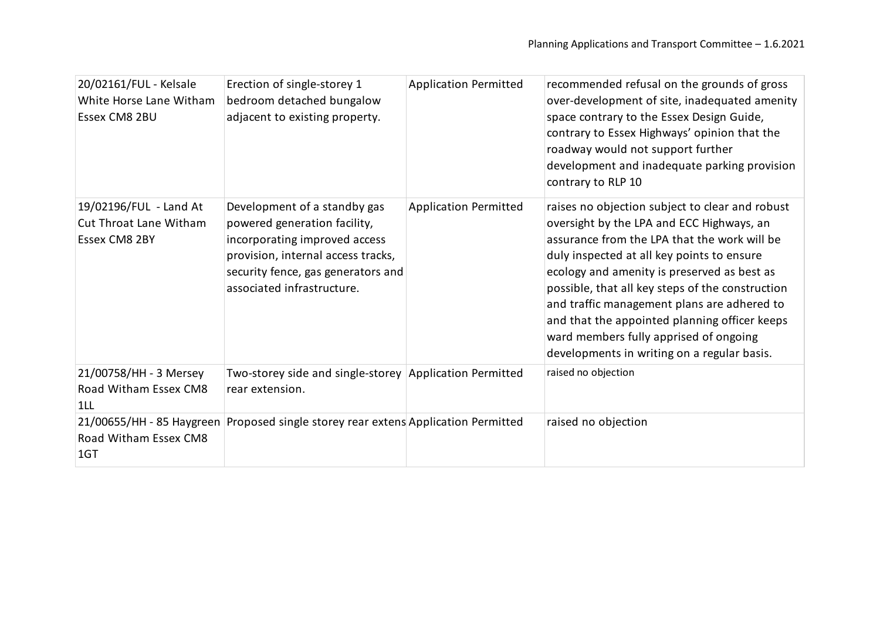| 20/02161/FUL - Kelsale<br>White Horse Lane Witham<br>Essex CM8 2BU       | Erection of single-storey 1<br>bedroom detached bungalow<br>adjacent to existing property.                                                                                                              | <b>Application Permitted</b> | recommended refusal on the grounds of gross<br>over-development of site, inadequated amenity<br>space contrary to the Essex Design Guide,<br>contrary to Essex Highways' opinion that the<br>roadway would not support further<br>development and inadequate parking provision<br>contrary to RLP 10                                                                                                                                                                                   |
|--------------------------------------------------------------------------|---------------------------------------------------------------------------------------------------------------------------------------------------------------------------------------------------------|------------------------------|----------------------------------------------------------------------------------------------------------------------------------------------------------------------------------------------------------------------------------------------------------------------------------------------------------------------------------------------------------------------------------------------------------------------------------------------------------------------------------------|
| 19/02196/FUL - Land At<br><b>Cut Throat Lane Witham</b><br>Essex CM8 2BY | Development of a standby gas<br>powered generation facility,<br>incorporating improved access<br>provision, internal access tracks,<br>security fence, gas generators and<br>associated infrastructure. | <b>Application Permitted</b> | raises no objection subject to clear and robust<br>oversight by the LPA and ECC Highways, an<br>assurance from the LPA that the work will be<br>duly inspected at all key points to ensure<br>ecology and amenity is preserved as best as<br>possible, that all key steps of the construction<br>and traffic management plans are adhered to<br>and that the appointed planning officer keeps<br>ward members fully apprised of ongoing<br>developments in writing on a regular basis. |
| 21/00758/HH - 3 Mersey<br>Road Witham Essex CM8<br>1 <sub>LL</sub>       | Two-storey side and single-storey Application Permitted<br>rear extension.                                                                                                                              |                              | raised no objection                                                                                                                                                                                                                                                                                                                                                                                                                                                                    |
| Road Witham Essex CM8<br>1GT                                             | 21/00655/HH - 85 Haygreen Proposed single storey rear extens Application Permitted                                                                                                                      |                              | raised no objection                                                                                                                                                                                                                                                                                                                                                                                                                                                                    |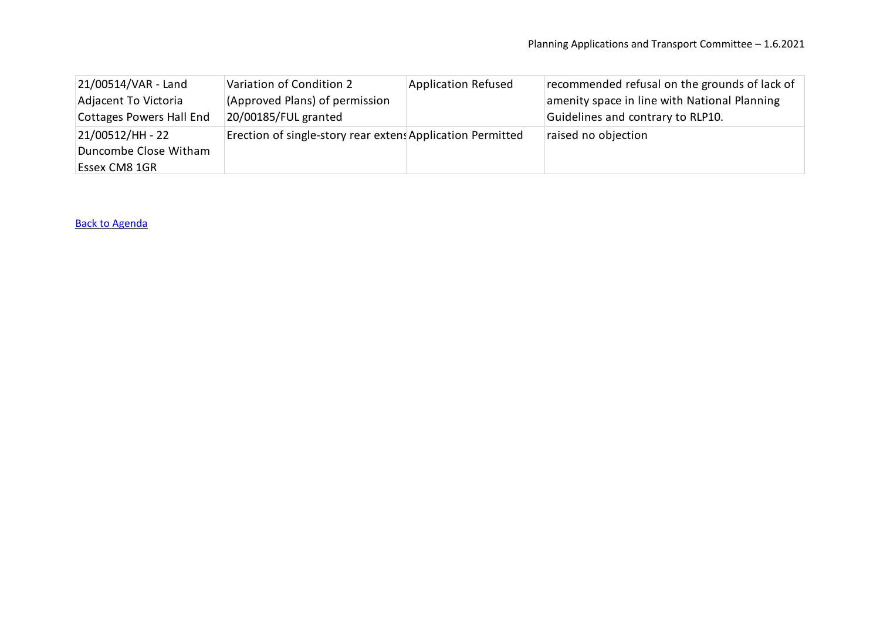| 21/00514/VAR - Land      | Variation of Condition 2                                   | Application Refused | recommended refusal on the grounds of lack of |
|--------------------------|------------------------------------------------------------|---------------------|-----------------------------------------------|
| Adjacent To Victoria     | (Approved Plans) of permission                             |                     | amenity space in line with National Planning  |
| Cottages Powers Hall End | 20/00185/FUL granted                                       |                     | Guidelines and contrary to RLP10.             |
| 21/00512/HH - 22         | Erection of single-story rear extens Application Permitted |                     | raised no objection                           |
| Duncombe Close Witham    |                                                            |                     |                                               |
| Essex CM8 1GR            |                                                            |                     |                                               |

**[Back to Agenda](#page-1-1)**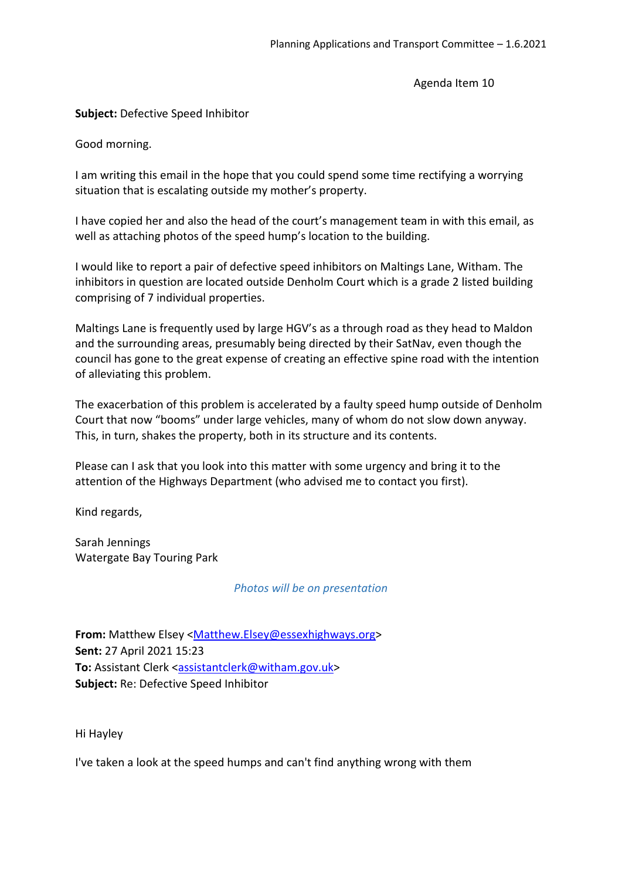<span id="page-16-0"></span>Agenda Item 10

## **Subject:** Defective Speed Inhibitor

### Good morning.

I am writing this email in the hope that you could spend some time rectifying a worrying situation that is escalating outside my mother's property.

I have copied her and also the head of the court's management team in with this email, as well as attaching photos of the speed hump's location to the building.

I would like to report a pair of defective speed inhibitors on Maltings Lane, Witham. The inhibitors in question are located outside Denholm Court which is a grade 2 listed building comprising of 7 individual properties.

Maltings Lane is frequently used by large HGV's as a through road as they head to Maldon and the surrounding areas, presumably being directed by their SatNav, even though the council has gone to the great expense of creating an effective spine road with the intention of alleviating this problem.

The exacerbation of this problem is accelerated by a faulty speed hump outside of Denholm Court that now "booms" under large vehicles, many of whom do not slow down anyway. This, in turn, shakes the property, both in its structure and its contents.

Please can I ask that you look into this matter with some urgency and bring it to the attention of the Highways Department (who advised me to contact you first).

Kind regards,

Sarah Jennings Watergate Bay Touring Park

*Photos will be on presentation*

From: Matthew Elsey [<Matthew.Elsey@essexhighways.org>](mailto:Matthew.Elsey@essexhighways.org) **Sent:** 27 April 2021 15:23 To: Assistant Clerk [<assistantclerk@witham.gov.uk>](mailto:assistantclerk@witham.gov.uk) **Subject:** Re: Defective Speed Inhibitor

Hi Hayley

I've taken a look at the speed humps and can't find anything wrong with them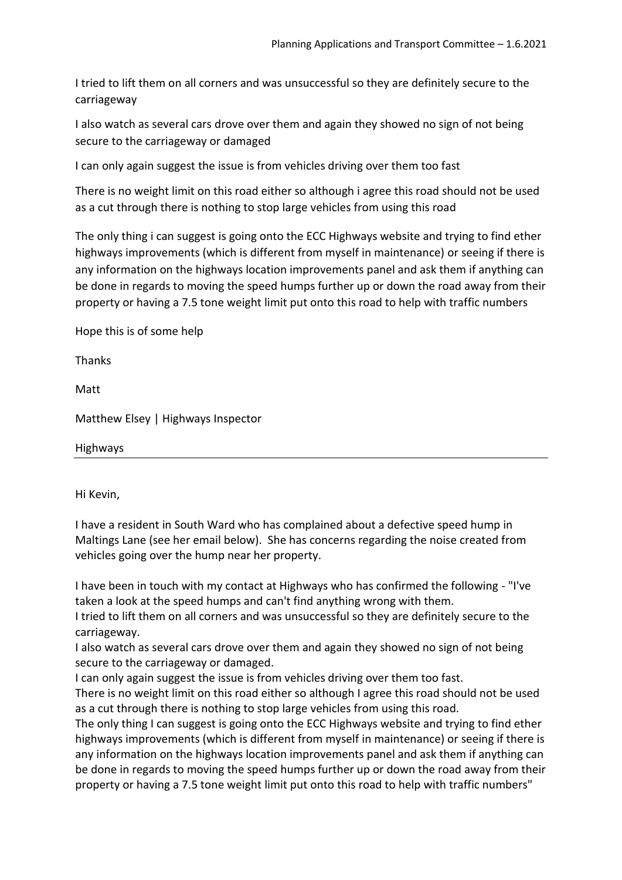I tried to lift them on all corners and was unsuccessful so they are definitely secure to the carriageway

I also watch as several cars drove over them and again they showed no sign of not being secure to the carriageway or damaged

I can only again suggest the issue is from vehicles driving over them too fast

There is no weight limit on this road either so although i agree this road should not be used as a cut through there is nothing to stop large vehicles from using this road

The only thing i can suggest is going onto the ECC Highways website and trying to find ether highways improvements (which is different from myself in maintenance) or seeing if there is any information on the highways location improvements panel and ask them if anything can be done in regards to moving the speed humps further up or down the road away from their property or having a 7.5 tone weight limit put onto this road to help with traffic numbers

Hope this is of some help

Thanks

Matt

Matthew Elsey | Highways Inspector

Highways

Hi Kevin,

I have a resident in South Ward who has complained about a defective speed hump in Maltings Lane (see her email below). She has concerns regarding the noise created from vehicles going over the hump near her property.

I have been in touch with my contact at Highways who has confirmed the following - "I've taken a look at the speed humps and can't find anything wrong with them.

I tried to lift them on all corners and was unsuccessful so they are definitely secure to the carriageway.

I also watch as several cars drove over them and again they showed no sign of not being secure to the carriageway or damaged.

I can only again suggest the issue is from vehicles driving over them too fast.

There is no weight limit on this road either so although I agree this road should not be used as a cut through there is nothing to stop large vehicles from using this road.

The only thing I can suggest is going onto the ECC Highways website and trying to find ether highways improvements (which is different from myself in maintenance) or seeing if there is any information on the highways location improvements panel and ask them if anything can be done in regards to moving the speed humps further up or down the road away from their property or having a 7.5 tone weight limit put onto this road to help with traffic numbers"